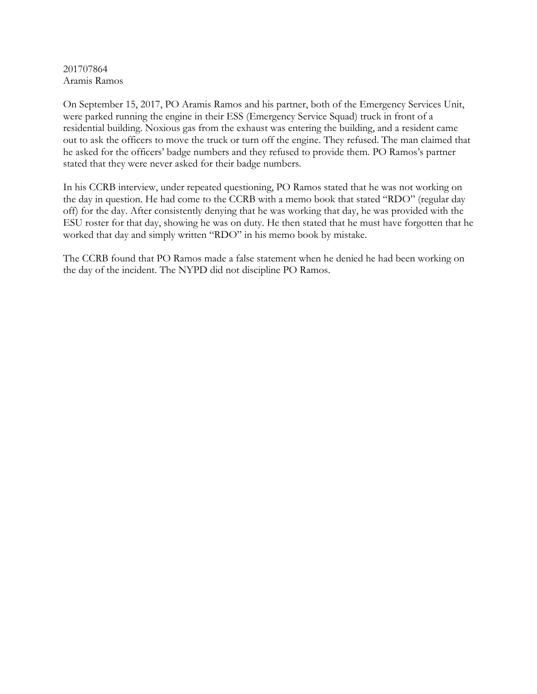201707864 Aramis Ramos

On September 15, 2017, PO Aramis Ramos and his partner, both of the Emergency Services Unit, were parked running the engine in their ESS (Emergency Service Squad) truck in front of a residential building. Noxious gas from the exhaust was entering the building, and a resident came out to ask the officers to move the truck or turn off the engine. They refused. The man claimed that he asked for the officers' badge numbers and they refused to provide them. PO Ramos's partner stated that they were never asked for their badge numbers.

In his CCRB interview, under repeated questioning, PO Ramos stated that he was not working on the day in question. He had come to the CCRB with a memo book that stated "RDO" (regular day off) for the day. After consistently denying that he was working that day, he was provided with the ESU roster for that day, showing he was on duty. He then stated that he must have forgotten that he worked that day and simply written "RDO" in his memo book by mistake.

The CCRB found that PO Ramos made a false statement when he denied he had been working on the day of the incident. The NYPD did not discipline PO Ramos.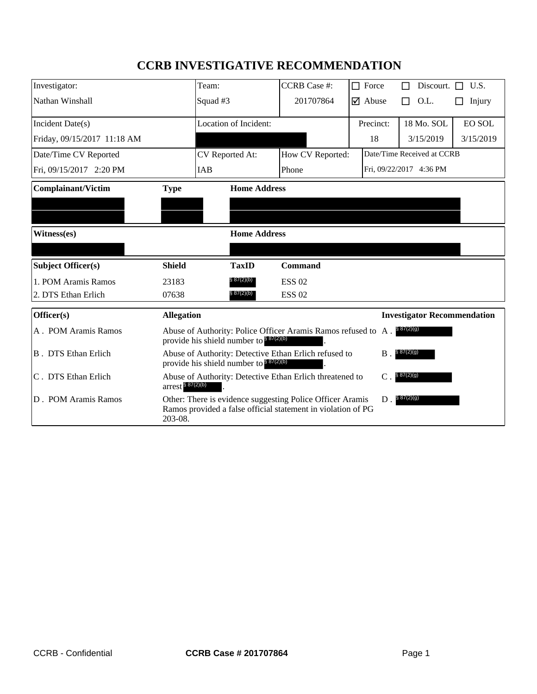# **CCRB INVESTIGATIVE RECOMMENDATION**

| Investigator:                      |                                                                                                                                 | Team:                                                                                                                     | <b>CCRB</b> Case #: | $\Box$ Force                     | Discourt. $\Box$                   | U.S.          |
|------------------------------------|---------------------------------------------------------------------------------------------------------------------------------|---------------------------------------------------------------------------------------------------------------------------|---------------------|----------------------------------|------------------------------------|---------------|
| Nathan Winshall                    |                                                                                                                                 | Squad #3                                                                                                                  | 201707864           | $\overline{\triangledown}$ Abuse | O.L.<br>П                          | Injury        |
| Incident Date(s)                   |                                                                                                                                 | <b>Location of Incident:</b>                                                                                              |                     | Precinct:                        | 18 Mo. SOL                         | <b>EO SOL</b> |
| Friday, 09/15/2017 11:18 AM        |                                                                                                                                 |                                                                                                                           |                     | 18                               | 3/15/2019                          | 3/15/2019     |
| Date/Time CV Reported              |                                                                                                                                 | CV Reported At:                                                                                                           | How CV Reported:    | Date/Time Received at CCRB       |                                    |               |
| Fri, 09/15/2017 2:20 PM            |                                                                                                                                 | IAB                                                                                                                       | Phone               |                                  | Fri, 09/22/2017 4:36 PM            |               |
| <b>Complainant/Victim</b>          | <b>Type</b>                                                                                                                     | <b>Home Address</b>                                                                                                       |                     |                                  |                                    |               |
|                                    |                                                                                                                                 |                                                                                                                           |                     |                                  |                                    |               |
|                                    |                                                                                                                                 |                                                                                                                           |                     |                                  |                                    |               |
| <b>Home Address</b><br>Witness(es) |                                                                                                                                 |                                                                                                                           |                     |                                  |                                    |               |
|                                    |                                                                                                                                 |                                                                                                                           |                     |                                  |                                    |               |
| <b>Subject Officer(s)</b>          | <b>Shield</b>                                                                                                                   | <b>TaxID</b>                                                                                                              | <b>Command</b>      |                                  |                                    |               |
| 1. POM Aramis Ramos                | 23183                                                                                                                           | § 87(2)(b)                                                                                                                | <b>ESS 02</b>       |                                  |                                    |               |
| 2. DTS Ethan Erlich                | 07638                                                                                                                           | § 87(2)(b)                                                                                                                | <b>ESS 02</b>       |                                  |                                    |               |
| Officer(s)                         | <b>Allegation</b>                                                                                                               |                                                                                                                           |                     |                                  | <b>Investigator Recommendation</b> |               |
| A. POM Aramis Ramos                | Abuse of Authority: Police Officer Aramis Ramos refused to A. \$87(2)(9)<br>provide his shield number to $8\frac{87(2)(b)}{25}$ |                                                                                                                           |                     |                                  |                                    |               |
| <b>B</b> . DTS Ethan Erlich        | Abuse of Authority: Detective Ethan Erlich refused to<br>§ 87(2)(g)<br><b>B</b> .<br>provide his shield number to \$87(2)(b)    |                                                                                                                           |                     |                                  |                                    |               |
| C. DTS Ethan Erlich                | $arrest$ $87(2)(b)$                                                                                                             | Abuse of Authority: Detective Ethan Erlich threatened to                                                                  |                     | $\mathcal{C}$                    | § 87(2)(g)                         |               |
| D. POM Aramis Ramos                | 203-08.                                                                                                                         | Other: There is evidence suggesting Police Officer Aramis<br>Ramos provided a false official statement in violation of PG |                     | $D$ .                            | § 87(2)(g)                         |               |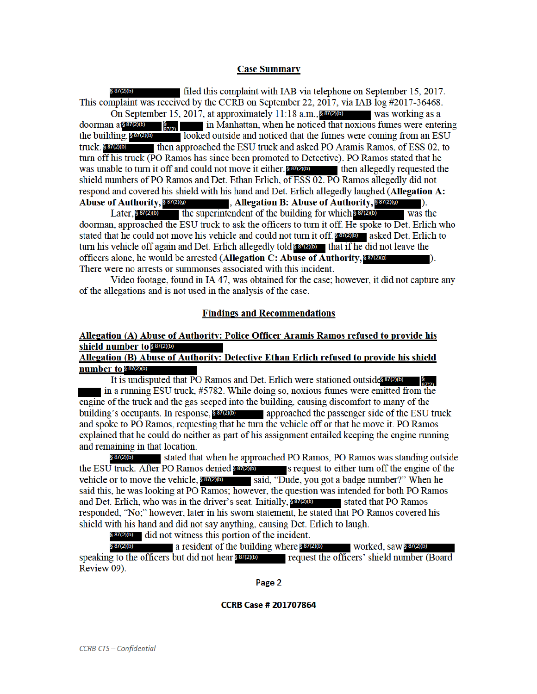#### **Case Summary**

filed this complaint with IAB via telephone on September 15, 2017. This complaint was received by the CCRB on September 22, 2017, via IAB log #2017-36468. On September 15, 2017, at approximately 11:18 a.m.,  $8\frac{87}{200}$  was working as a doorman a\$87(2)(b) in Manhattan, when he noticed that noxious fumes were entering  $\frac{5}{27}$ the building. \$87(2)(b) looked outside and noticed that the fumes were coming from an ESU truck. 887(2)(b) then approached the ESU truck and asked PO Aramis Ramos, of ESS 02, to turn off his truck (PO Ramos has since been promoted to Detective). PO Ramos stated that he was unable to turn it off and could not move it either.  $8\pi(2)$ (b) then allegedly requested the shield numbers of PO Ramos and Det. Ethan Erlich, of ESS 02. PO Ramos allegedly did not respond and covered his shield with his hand and Det. Erlich allegedly laughed (Allegation A: **Abuse of Authority, \$87(2)(9)** : Allegation B: Abuse of Authority, 887(2)(9)

the superintendent of the building for which S87(2)(b) Later,  $$87(2)(b)$ was the doorman, approached the ESU truck to ask the officers to turn it off. He spoke to Det. Erlich who stated that he could not move his vehicle and could not turn it off. **SET(2)(b)** asked Det. Erlich to turn his vehicle off again and Det. Erlich allegedly told 8 87(2)(b) that if he did not leave the officers alone, he would be arrested (Allegation C: Abuse of Authority, \$87(2)(9)  $\mathbf{D}$ . There were no arrests or summonses associated with this incident.

Video footage, found in IA 47, was obtained for the case; however, it did not capture any of the allegations and is not used in the analysis of the case.

#### **Findings and Recommendations**

# Allegation (A) Abuse of Authority: Police Officer Aramis Ramos refused to provide his shield number to \$87(2)(b)

## Allegation (B) Abuse of Authority: Detective Ethan Erlich refused to provide his shield number to \$87(2)(b)

It is undisputed that PO Ramos and Det. Erlich were stationed outsides  $\frac{1}{270}$ in a running ESU truck, #5782. While doing so, noxious fumes were emitted from the engine of the truck and the gas seeped into the building, causing discomfort to many of the building's occupants. In response, 89700 approached the passenger side of the ESU truck and spoke to PO Ramos, requesting that he turn the vehicle off or that he move it. PO Ramos explained that he could do neither as part of his assignment entailed keeping the engine running and remaining in that location.

§ 87(2)(b) stated that when he approached PO Ramos, PO Ramos was standing outside the ESU truck. After PO Ramos denied 887200 s request to either turn off the engine of the vehicle or to move the vehicle, **887(2)(b)** said, "Dude, you got a badge number?" When he said this, he was looking at PO Ramos; however, the question was intended for both PO Ramos and Det. Erlich, who was in the driver's seat. Initially, 887(2)(b) stated that PO Ramos responded, "No;" however, later in his sworn statement, he stated that PO Ramos covered his shield with his hand and did not say anything, causing Det. Erlich to laugh.

§ 87(2)(b) did not witness this portion of the incident.

 $$87(2)(b)$ a resident of the building where \$87(2)(b) worked, saw  $$87(2)(b)$ speaking to the officers but did not hear \$87000 request the officers' shield number (Board Review 09).

Page 2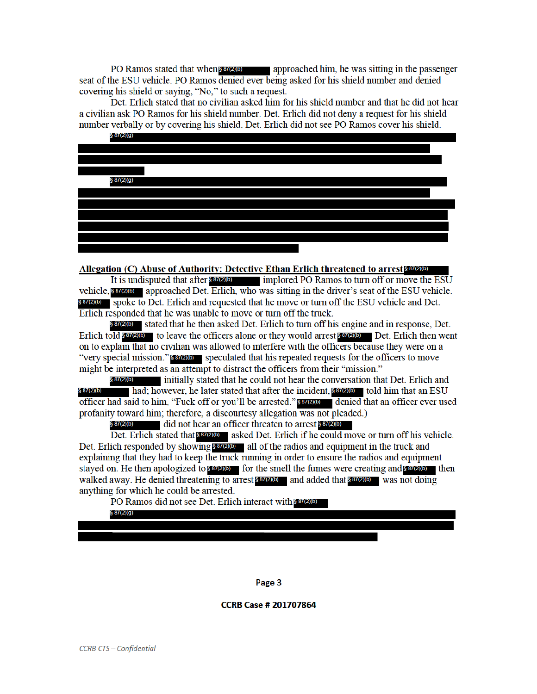PO Ramos stated that when 887(2)(b) approached him, he was sitting in the passenger seat of the ESU vehicle. PO Ramos denied ever being asked for his shield number and denied covering his shield or saying, "No," to such a request.

Det. Erlich stated that no civilian asked him for his shield number and that he did not hear a civilian ask PO Ramos for his shield number. Det. Erlich did not deny a request for his shield number verbally or by covering his shield. Det. Erlich did not see PO Ramos cover his shield.



#### Allegation (C) Abuse of Authority: Detective Ethan Erlich threatened to arrest \$87(2)(b)

It is undisputed that after  $\frac{1}{2}$  (2)(b) implored PO Ramos to turn off or move the ESU vehicle, 887(2)(b) approached Det. Erlich, who was sitting in the driver's seat of the ESU vehicle. **§87(2)(b)** spoke to Det. Erlich and requested that he move or turn off the ESU vehicle and Det. Erlich responded that he was unable to move or turn off the truck.

**§ 87(2)(b)** stated that he then asked Det. Erlich to turn off his engine and in response, Det. Erlich to  $\log$   $\frac{1}{100}$  to leave the officers alone or they would arrest  $\frac{1}{100}$  Det. Erlich then went on to explain that no civilian was allowed to interfere with the officers because they were on a "very special mission." **SECULE** speculated that his repeated requests for the officers to move might be interpreted as an attempt to distract the officers from their "mission."

initially stated that he could not hear the conversation that Det. Erlich and § 87(2)(b) had; however, he later stated that after the incident, 887(2)(b) told him that an ESU § 87(2)(b) officer had said to him, "Fuck off or you'll be arrested." \$87200 denied that an officer ever used profanity toward him; therefore, a discourtesy allegation was not pleaded.)

§ 87(2)(b) did not hear an officer threaten to arrest \$87(2)(b)

Det. Erlich stated that strew asked Det. Erlich if he could move or turn off his vehicle. Det. Erlich responded by showing  $8\frac{87}{200}$  all of the radios and equipment in the truck and explaining that they had to keep the truck running in order to ensure the radios and equipment stayed on. He then apologized to 887(2)(b) for the smell the fumes were creating and 887(2)(b) then walked away. He denied threatening to arrest 887(2)(b) and added that  $8\frac{87}{200}$  was not doing anything for which he could be arrested.

PO Ramos did not see Det. Erlich interact with \$87(2)(b)

 $$87(2)(g)$ 

Page 3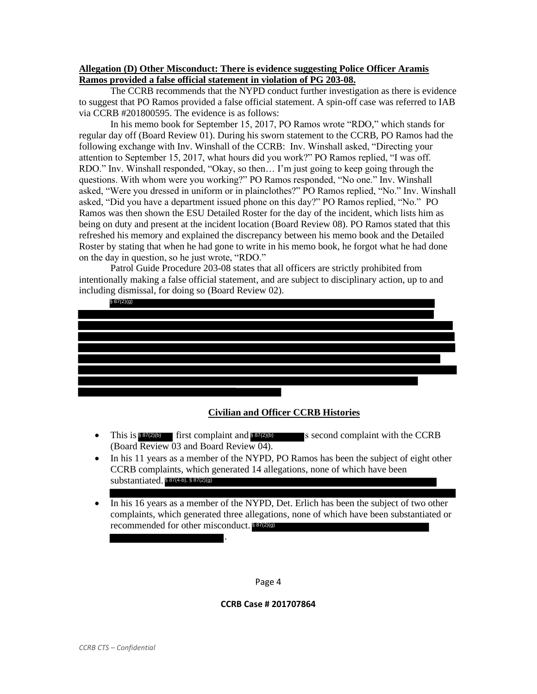### **Allegation (D) Other Misconduct: There is evidence suggesting Police Officer Aramis Ramos provided a false official statement in violation of PG 203-08.**

The CCRB recommends that the NYPD conduct further investigation as there is evidence to suggest that PO Ramos provided a false official statement. A spin-off case was referred to IAB via CCRB #201800595. The evidence is as follows:

In his memo book for September 15, 2017, PO Ramos wrote "RDO," which stands for regular day off (Board Review 01). During his sworn statement to the CCRB, PO Ramos had the following exchange with Inv. Winshall of the CCRB: Inv. Winshall asked, "Directing your attention to September 15, 2017, what hours did you work?" PO Ramos replied, "I was off. RDO." Inv. Winshall responded, "Okay, so then... I'm just going to keep going through the questions. With whom were you working?" PO Ramos responded, "No one." Inv. Winshall asked, "Were you dressed in uniform or in plainclothes?" PO Ramos replied, "No." Inv. Winshall asked, "Did you have a department issued phone on this day?" PO Ramos replied, "No." PO Ramos was then shown the ESU Detailed Roster for the day of the incident, which lists him as being on duty and present at the incident location (Board Review 08). PO Ramos stated that this refreshed his memory and explained the discrepancy between his memo book and the Detailed Roster by stating that when he had gone to write in his memo book, he forgot what he had done on the day in question, so he just wrote, "RDO."

Patrol Guide Procedure 203-08 states that all officers are strictly prohibited from intentionally making a false official statement, and are subject to disciplinary action, up to and including dismissal, for doing so (Board Review 02).



- This is  $\frac{887(2)(b)}{2}$  first complaint and  $\frac{837(2)(b)}{2}$  is second complaint with the CCRB (Board Review 03 and Board Review 04).
- In his 11 years as a member of the NYPD, PO Ramos has been the subject of eight other CCRB complaints, which generated 14 allegations, none of which have been substantiated. § 87(4-b), § 87(2)(g)
- In his 16 years as a member of the NYPD, Det. Erlich has been the subject of two other complaints, which generated three allegations, none of which have been substantiated or recommended for other misconduct. § 87(2)(g)

Page 4

.